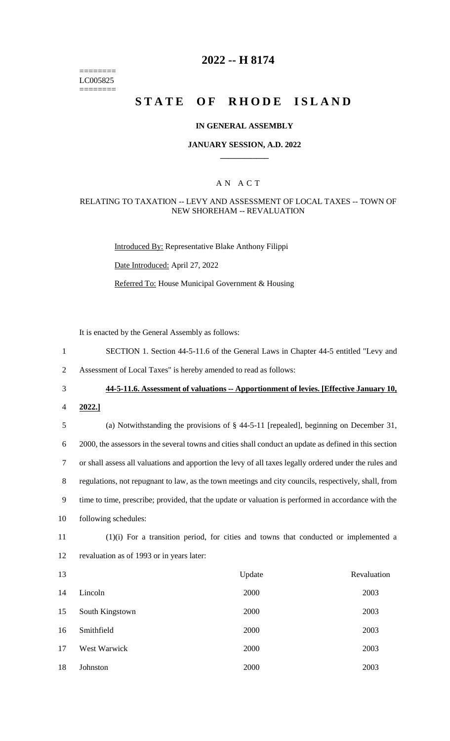======== LC005825 ========

# **2022 -- H 8174**

# **STATE OF RHODE ISLAND**

### **IN GENERAL ASSEMBLY**

### **JANUARY SESSION, A.D. 2022 \_\_\_\_\_\_\_\_\_\_\_\_**

### A N A C T

### RELATING TO TAXATION -- LEVY AND ASSESSMENT OF LOCAL TAXES -- TOWN OF NEW SHOREHAM -- REVALUATION

Introduced By: Representative Blake Anthony Filippi

Date Introduced: April 27, 2022

Referred To: House Municipal Government & Housing

It is enacted by the General Assembly as follows:

1 SECTION 1. Section 44-5-11.6 of the General Laws in Chapter 44-5 entitled "Levy and

2 Assessment of Local Taxes" is hereby amended to read as follows:

3 **44-5-11.6. Assessment of valuations -- Apportionment of levies. [Effective January 10,** 

4 **2022.]**

 (a) Notwithstanding the provisions of § 44-5-11 [repealed], beginning on December 31, 2000, the assessors in the several towns and cities shall conduct an update as defined in this section or shall assess all valuations and apportion the levy of all taxes legally ordered under the rules and regulations, not repugnant to law, as the town meetings and city councils, respectively, shall, from time to time, prescribe; provided, that the update or valuation is performed in accordance with the following schedules:

11 (1)(i) For a transition period, for cities and towns that conducted or implemented a 12 revaluation as of 1993 or in years later:

| 13 |                 | Update | Revaluation |
|----|-----------------|--------|-------------|
| 14 | Lincoln         | 2000   | 2003        |
| 15 | South Kingstown | 2000   | 2003        |
| 16 | Smithfield      | 2000   | 2003        |
| 17 | West Warwick    | 2000   | 2003        |
| 18 | Johnston        | 2000   | 2003        |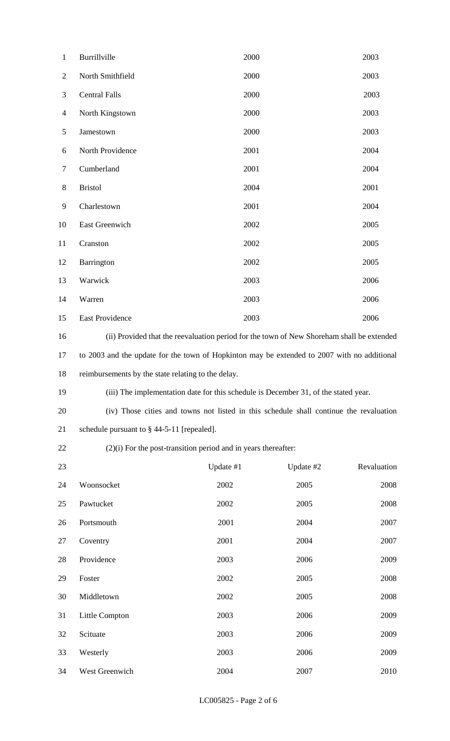| $\mathbf{1}$   | Burrillville                                                                                | 2000      |           | 2003        |  |
|----------------|---------------------------------------------------------------------------------------------|-----------|-----------|-------------|--|
| $\overline{2}$ | North Smithfield                                                                            | 2000      |           | 2003        |  |
| 3              | <b>Central Falls</b>                                                                        | 2000      |           | 2003        |  |
| $\overline{4}$ | North Kingstown                                                                             | 2000      |           | 2003        |  |
| 5              | Jamestown                                                                                   | 2000      |           | 2003        |  |
| 6              | North Providence                                                                            | 2001      |           | 2004        |  |
| $\overline{7}$ | Cumberland                                                                                  | 2001      |           | 2004        |  |
| 8              | <b>Bristol</b>                                                                              | 2004      |           | 2001        |  |
| 9              | Charlestown                                                                                 | 2001      |           | 2004        |  |
| 10             | East Greenwich                                                                              | 2002      |           | 2005        |  |
| 11             | Cranston                                                                                    | 2002      |           | 2005        |  |
| 12             | Barrington                                                                                  | 2002      |           | 2005        |  |
| 13             | Warwick                                                                                     | 2003      |           | 2006        |  |
| 14             | Warren                                                                                      | 2003      |           | 2006        |  |
| 15             | East Providence                                                                             | 2003      |           | 2006        |  |
| 16             | (ii) Provided that the reevaluation period for the town of New Shoreham shall be extended   |           |           |             |  |
| 17             | to 2003 and the update for the town of Hopkinton may be extended to 2007 with no additional |           |           |             |  |
| 18             | reimbursements by the state relating to the delay.                                          |           |           |             |  |
| 19             | (iii) The implementation date for this schedule is December 31, of the stated year.         |           |           |             |  |
| 20             | (iv) Those cities and towns not listed in this schedule shall continue the revaluation      |           |           |             |  |
| 21             | schedule pursuant to $\S$ 44-5-11 [repealed].                                               |           |           |             |  |
| 22             | $(2)(i)$ For the post-transition period and in years thereafter:                            |           |           |             |  |
| 23             |                                                                                             | Update #1 | Update #2 | Revaluation |  |
| 24             | Woonsocket                                                                                  | 2002      | 2005      | 2008        |  |
| 25             | Pawtucket                                                                                   | 2002      | 2005      | 2008        |  |
| 26             | Portsmouth                                                                                  | 2001      | 2004      | 2007        |  |
| 27             | Coventry                                                                                    | 2001      | 2004      | 2007        |  |
| 28             | Providence                                                                                  | 2003      | 2006      | 2009        |  |
| 29             | Foster                                                                                      | 2002      | 2005      | 2008        |  |
| 30             | Middletown                                                                                  | 2002      | 2005      | 2008        |  |
| 31             | Little Compton                                                                              | 2003      | 2006      | 2009        |  |
| 32             | Scituate                                                                                    | 2003      | 2006      | 2009        |  |
| 33             | Westerly                                                                                    | 2003      | 2006      | 2009        |  |
| 34             | West Greenwich                                                                              | 2004      | 2007      | 2010        |  |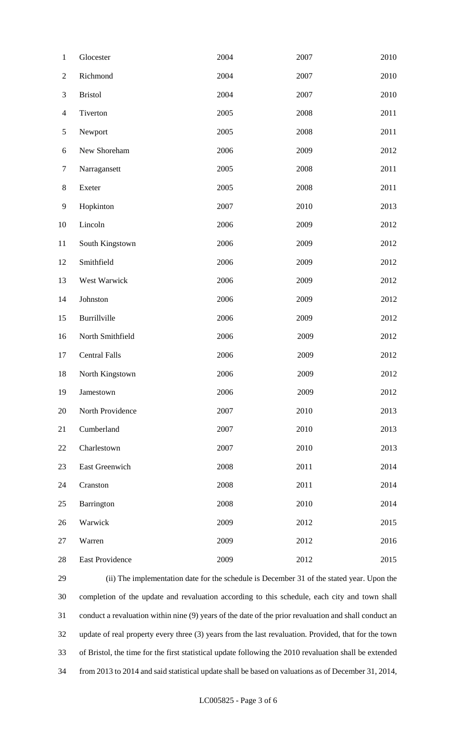| $\mathbf{1}$   | Glocester            | 2004 | 2007 | 2010 |
|----------------|----------------------|------|------|------|
| $\mathbf{2}$   | Richmond             | 2004 | 2007 | 2010 |
| $\mathfrak{Z}$ | <b>Bristol</b>       | 2004 | 2007 | 2010 |
| $\overline{4}$ | Tiverton             | 2005 | 2008 | 2011 |
| $\mathfrak{S}$ | Newport              | 2005 | 2008 | 2011 |
| 6              | New Shoreham         | 2006 | 2009 | 2012 |
| $\tau$         | Narragansett         | 2005 | 2008 | 2011 |
| $8\,$          | Exeter               | 2005 | 2008 | 2011 |
| $\mathbf{9}$   | Hopkinton            | 2007 | 2010 | 2013 |
| 10             | Lincoln              | 2006 | 2009 | 2012 |
| 11             | South Kingstown      | 2006 | 2009 | 2012 |
| 12             | Smithfield           | 2006 | 2009 | 2012 |
| 13             | West Warwick         | 2006 | 2009 | 2012 |
| 14             | Johnston             | 2006 | 2009 | 2012 |
| 15             | Burrillville         | 2006 | 2009 | 2012 |
| 16             | North Smithfield     | 2006 | 2009 | 2012 |
| 17             | <b>Central Falls</b> | 2006 | 2009 | 2012 |
| 18             | North Kingstown      | 2006 | 2009 | 2012 |
| 19             | Jamestown            | 2006 | 2009 | 2012 |
| 20             | North Providence     | 2007 | 2010 | 2013 |
| 21             | Cumberland           | 2007 | 2010 | 2013 |
| 22             | Charlestown          | 2007 | 2010 | 2013 |
| 23             | East Greenwich       | 2008 | 2011 | 2014 |
| 24             | Cranston             | 2008 | 2011 | 2014 |
| 25             | Barrington           | 2008 | 2010 | 2014 |
| 26             | Warwick              | 2009 | 2012 | 2015 |
| 27             | Warren               | 2009 | 2012 | 2016 |
| 28             | East Providence      | 2009 | 2012 | 2015 |

 (ii) The implementation date for the schedule is December 31 of the stated year. Upon the completion of the update and revaluation according to this schedule, each city and town shall conduct a revaluation within nine (9) years of the date of the prior revaluation and shall conduct an update of real property every three (3) years from the last revaluation. Provided, that for the town of Bristol, the time for the first statistical update following the 2010 revaluation shall be extended from 2013 to 2014 and said statistical update shall be based on valuations as of December 31, 2014,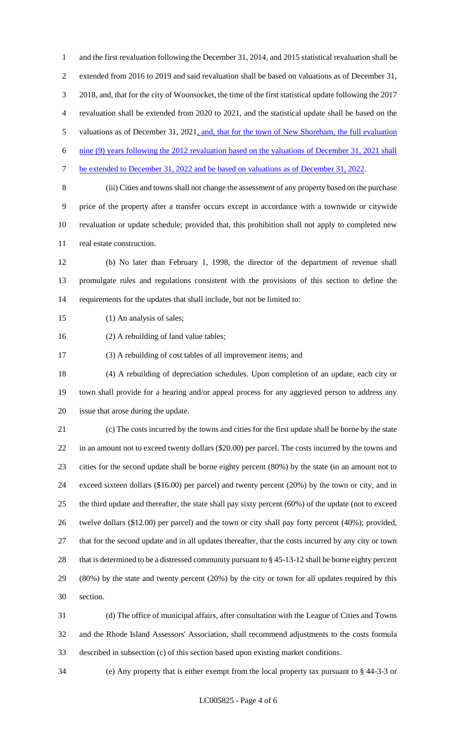and the first revaluation following the December 31, 2014, and 2015 statistical revaluation shall be extended from 2016 to 2019 and said revaluation shall be based on valuations as of December 31, 2018, and, that for the city of Woonsocket, the time of the first statistical update following the 2017 revaluation shall be extended from 2020 to 2021, and the statistical update shall be based on the 5 valuations as of December 31, 2021, and, that for the town of New Shoreham, the full evaluation nine (9) years following the 2012 revaluation based on the valuations of December 31, 2021 shall be extended to December 31, 2022 and be based on valuations as of December 31, 2022. (iii) Cities and towns shall not change the assessment of any property based on the purchase price of the property after a transfer occurs except in accordance with a townwide or citywide revaluation or update schedule; provided that, this prohibition shall not apply to completed new real estate construction.

 (b) No later than February 1, 1998, the director of the department of revenue shall promulgate rules and regulations consistent with the provisions of this section to define the requirements for the updates that shall include, but not be limited to:

15 (1) An analysis of sales;

(2) A rebuilding of land value tables;

(3) A rebuilding of cost tables of all improvement items; and

 (4) A rebuilding of depreciation schedules. Upon completion of an update, each city or town shall provide for a hearing and/or appeal process for any aggrieved person to address any issue that arose during the update.

 (c) The costs incurred by the towns and cities for the first update shall be borne by the state in an amount not to exceed twenty dollars (\$20.00) per parcel. The costs incurred by the towns and cities for the second update shall be borne eighty percent (80%) by the state (in an amount not to exceed sixteen dollars (\$16.00) per parcel) and twenty percent (20%) by the town or city, and in the third update and thereafter, the state shall pay sixty percent (60%) of the update (not to exceed twelve dollars (\$12.00) per parcel) and the town or city shall pay forty percent (40%); provided, that for the second update and in all updates thereafter, that the costs incurred by any city or town that is determined to be a distressed community pursuant to § 45-13-12 shall be borne eighty percent (80%) by the state and twenty percent (20%) by the city or town for all updates required by this section.

 (d) The office of municipal affairs, after consultation with the League of Cities and Towns and the Rhode Island Assessors' Association, shall recommend adjustments to the costs formula described in subsection (c) of this section based upon existing market conditions.

(e) Any property that is either exempt from the local property tax pursuant to § 44-3-3 or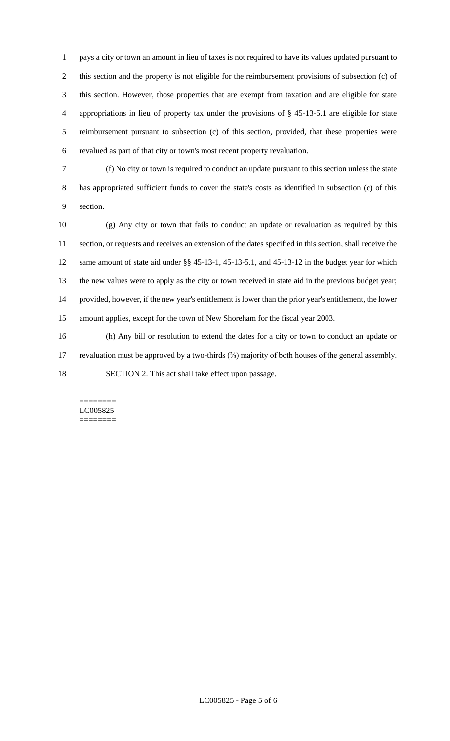pays a city or town an amount in lieu of taxes is not required to have its values updated pursuant to this section and the property is not eligible for the reimbursement provisions of subsection (c) of this section. However, those properties that are exempt from taxation and are eligible for state appropriations in lieu of property tax under the provisions of § 45-13-5.1 are eligible for state reimbursement pursuant to subsection (c) of this section, provided, that these properties were revalued as part of that city or town's most recent property revaluation.

 (f) No city or town is required to conduct an update pursuant to this section unless the state has appropriated sufficient funds to cover the state's costs as identified in subsection (c) of this section.

 (g) Any city or town that fails to conduct an update or revaluation as required by this section, or requests and receives an extension of the dates specified in this section, shall receive the same amount of state aid under §§ 45-13-1, 45-13-5.1, and 45-13-12 in the budget year for which the new values were to apply as the city or town received in state aid in the previous budget year; provided, however, if the new year's entitlement is lower than the prior year's entitlement, the lower amount applies, except for the town of New Shoreham for the fiscal year 2003.

 (h) Any bill or resolution to extend the dates for a city or town to conduct an update or revaluation must be approved by a two-thirds (⅔) majority of both houses of the general assembly. SECTION 2. This act shall take effect upon passage.

#### ======== LC005825 ========